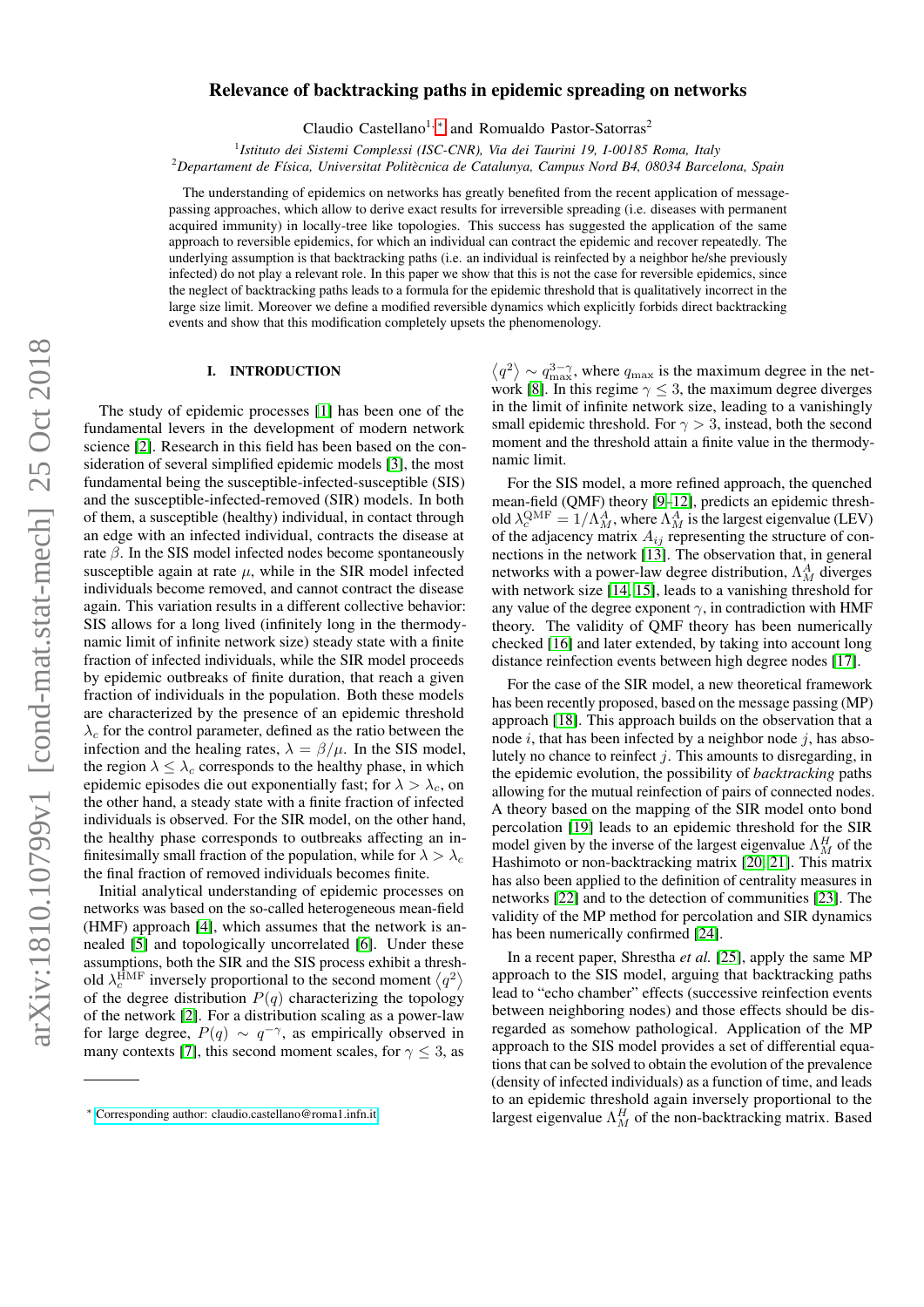# $arXiv:1810.10799v1$  [cond-mat.stat-mech] 25 Oct 2018 arXiv:1810.10799v1 [cond-mat.stat-mech] 25 Oct 2018

# Relevance of backtracking paths in epidemic spreading on networks

Claudio Castellano<sup>1, \*</sup> and Romualdo Pastor-Satorras<sup>2</sup>

<sup>1</sup> Istituto dei Sistemi Complessi (ISC-CNR), Via dei Taurini 19, I-00185 Roma, Italy

<sup>2</sup>*Departament de F´ısica, Universitat Politecnica de Catalunya, Campus Nord B4, 08034 Barcelona, Spain `*

The understanding of epidemics on networks has greatly benefited from the recent application of messagepassing approaches, which allow to derive exact results for irreversible spreading (i.e. diseases with permanent acquired immunity) in locally-tree like topologies. This success has suggested the application of the same approach to reversible epidemics, for which an individual can contract the epidemic and recover repeatedly. The underlying assumption is that backtracking paths (i.e. an individual is reinfected by a neighbor he/she previously infected) do not play a relevant role. In this paper we show that this is not the case for reversible epidemics, since the neglect of backtracking paths leads to a formula for the epidemic threshold that is qualitatively incorrect in the large size limit. Moreover we define a modified reversible dynamics which explicitly forbids direct backtracking events and show that this modification completely upsets the phenomenology.

# I. INTRODUCTION

The study of epidemic processes [\[1\]](#page-6-0) has been one of the fundamental levers in the development of modern network science [\[2\]](#page-6-1). Research in this field has been based on the consideration of several simplified epidemic models [\[3\]](#page-6-2), the most fundamental being the susceptible-infected-susceptible (SIS) and the susceptible-infected-removed (SIR) models. In both of them, a susceptible (healthy) individual, in contact through an edge with an infected individual, contracts the disease at rate  $\beta$ . In the SIS model infected nodes become spontaneously susceptible again at rate  $\mu$ , while in the SIR model infected individuals become removed, and cannot contract the disease again. This variation results in a different collective behavior: SIS allows for a long lived (infinitely long in the thermodynamic limit of infinite network size) steady state with a finite fraction of infected individuals, while the SIR model proceeds by epidemic outbreaks of finite duration, that reach a given fraction of individuals in the population. Both these models are characterized by the presence of an epidemic threshold  $\lambda_c$  for the control parameter, defined as the ratio between the infection and the healing rates,  $\lambda = \beta/\mu$ . In the SIS model, the region  $\lambda \leq \lambda_c$  corresponds to the healthy phase, in which epidemic episodes die out exponentially fast; for  $\lambda > \lambda_c$ , on the other hand, a steady state with a finite fraction of infected individuals is observed. For the SIR model, on the other hand, the healthy phase corresponds to outbreaks affecting an infinitesimally small fraction of the population, while for  $\lambda > \lambda_c$ the final fraction of removed individuals becomes finite.

Initial analytical understanding of epidemic processes on networks was based on the so-called heterogeneous mean-field (HMF) approach [\[4\]](#page-6-3), which assumes that the network is annealed [\[5\]](#page-6-4) and topologically uncorrelated [\[6\]](#page-6-5). Under these assumptions, both the SIR and the SIS process exhibit a threshold  $\lambda_c^{\text{HMF}}$  inversely proportional to the second moment  $\langle q^2 \rangle$ of the degree distribution  $P(q)$  characterizing the topology of the network [\[2\]](#page-6-1). For a distribution scaling as a power-law for large degree,  $P(q) \sim q^{-\gamma}$ , as empirically observed in many contexts [\[7\]](#page-6-6), this second moment scales, for  $\gamma \leq 3$ , as

 $\langle q^2 \rangle \sim q_{\rm max}^{3-\gamma}$ , where  $q_{\rm max}$  is the maximum degree in the net-work [\[8\]](#page-6-7). In this regime  $\gamma \leq 3$ , the maximum degree diverges in the limit of infinite network size, leading to a vanishingly small epidemic threshold. For  $\gamma > 3$ , instead, both the second moment and the threshold attain a finite value in the thermodynamic limit.

For the SIS model, a more refined approach, the quenched mean-field (QMF) theory [\[9–](#page-6-8)[12\]](#page-6-9), predicts an epidemic threshold  $\lambda_c^{\text{QMF}} = 1/\Lambda_M^A$ , where  $\Lambda_M^A$  is the largest eigenvalue (LEV) of the adjacency matrix  $A_{ij}$  representing the structure of connections in the network [\[13\]](#page-6-10). The observation that, in general networks with a power-law degree distribution,  $\Lambda_M^A$  diverges with network size [\[14,](#page-6-11) [15\]](#page-6-12), leads to a vanishing threshold for any value of the degree exponent  $\gamma$ , in contradiction with HMF theory. The validity of QMF theory has been numerically checked [\[16\]](#page-6-13) and later extended, by taking into account long distance reinfection events between high degree nodes [\[17\]](#page-6-14).

For the case of the SIR model, a new theoretical framework has been recently proposed, based on the message passing (MP) approach [\[18\]](#page-6-15). This approach builds on the observation that a node  $i$ , that has been infected by a neighbor node  $j$ , has absolutely no chance to reinfect  $j$ . This amounts to disregarding, in the epidemic evolution, the possibility of *backtracking* paths allowing for the mutual reinfection of pairs of connected nodes. A theory based on the mapping of the SIR model onto bond percolation [\[19\]](#page-6-16) leads to an epidemic threshold for the SIR model given by the inverse of the largest eigenvalue  $\Lambda_M^H$  of the Hashimoto or non-backtracking matrix [\[20,](#page-6-17) [21\]](#page-6-18). This matrix has also been applied to the definition of centrality measures in networks [\[22\]](#page-6-19) and to the detection of communities [\[23\]](#page-6-20). The validity of the MP method for percolation and SIR dynamics has been numerically confirmed [\[24\]](#page-6-21).

In a recent paper, Shrestha *et al.* [\[25\]](#page-6-22), apply the same MP approach to the SIS model, arguing that backtracking paths lead to "echo chamber" effects (successive reinfection events between neighboring nodes) and those effects should be disregarded as somehow pathological. Application of the MP approach to the SIS model provides a set of differential equations that can be solved to obtain the evolution of the prevalence (density of infected individuals) as a function of time, and leads to an epidemic threshold again inversely proportional to the largest eigenvalue  $\Lambda_M^H$  of the non-backtracking matrix. Based

<span id="page-0-0"></span><sup>∗</sup> [Corresponding author: claudio.castellano@roma1.infn.it](mailto:Corresponding author: claudio.castellano@roma1.infn.it)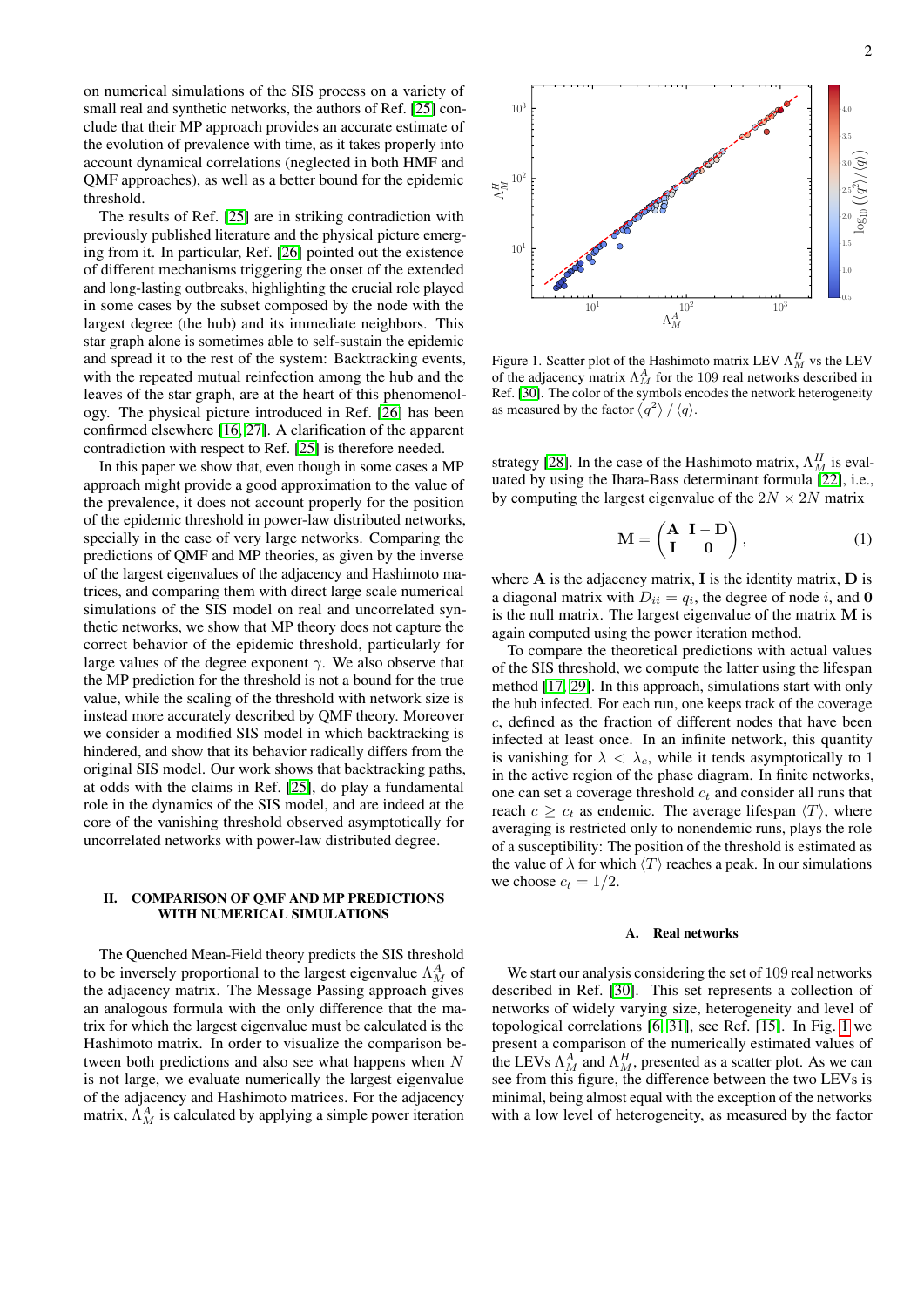on numerical simulations of the SIS process on a variety of small real and synthetic networks, the authors of Ref. [\[25\]](#page-6-22) conclude that their MP approach provides an accurate estimate of the evolution of prevalence with time, as it takes properly into account dynamical correlations (neglected in both HMF and QMF approaches), as well as a better bound for the epidemic threshold.

The results of Ref. [\[25\]](#page-6-22) are in striking contradiction with previously published literature and the physical picture emerging from it. In particular, Ref. [\[26\]](#page-6-23) pointed out the existence of different mechanisms triggering the onset of the extended and long-lasting outbreaks, highlighting the crucial role played in some cases by the subset composed by the node with the largest degree (the hub) and its immediate neighbors. This star graph alone is sometimes able to self-sustain the epidemic and spread it to the rest of the system: Backtracking events, with the repeated mutual reinfection among the hub and the leaves of the star graph, are at the heart of this phenomenology. The physical picture introduced in Ref. [\[26\]](#page-6-23) has been confirmed elsewhere [\[16,](#page-6-13) [27\]](#page-6-24). A clarification of the apparent contradiction with respect to Ref. [\[25\]](#page-6-22) is therefore needed.

In this paper we show that, even though in some cases a MP approach might provide a good approximation to the value of the prevalence, it does not account properly for the position of the epidemic threshold in power-law distributed networks, specially in the case of very large networks. Comparing the predictions of QMF and MP theories, as given by the inverse of the largest eigenvalues of the adjacency and Hashimoto matrices, and comparing them with direct large scale numerical simulations of the SIS model on real and uncorrelated synthetic networks, we show that MP theory does not capture the correct behavior of the epidemic threshold, particularly for large values of the degree exponent  $\gamma$ . We also observe that the MP prediction for the threshold is not a bound for the true value, while the scaling of the threshold with network size is instead more accurately described by QMF theory. Moreover we consider a modified SIS model in which backtracking is hindered, and show that its behavior radically differs from the original SIS model. Our work shows that backtracking paths, at odds with the claims in Ref. [\[25\]](#page-6-22), do play a fundamental role in the dynamics of the SIS model, and are indeed at the core of the vanishing threshold observed asymptotically for uncorrelated networks with power-law distributed degree.

# II. COMPARISON OF QMF AND MP PREDICTIONS WITH NUMERICAL SIMULATIONS

The Quenched Mean-Field theory predicts the SIS threshold to be inversely proportional to the largest eigenvalue  $\Lambda_M^A$  of the adjacency matrix. The Message Passing approach gives an analogous formula with the only difference that the matrix for which the largest eigenvalue must be calculated is the Hashimoto matrix. In order to visualize the comparison between both predictions and also see what happens when N is not large, we evaluate numerically the largest eigenvalue of the adjacency and Hashimoto matrices. For the adjacency matrix,  $\Lambda_M^A$  is calculated by applying a simple power iteration



<span id="page-1-0"></span>Figure 1. Scatter plot of the Hashimoto matrix LEV  $\Lambda_M^H$  vs the LEV of the adjacency matrix  $\Lambda_M^A$  for the 109 real networks described in Ref. [\[30\]](#page-6-25). The color of the symbols encodes the network heterogeneity as measured by the factor  $\langle q^2 \rangle / \langle q \rangle$ .

strategy [\[28\]](#page-6-26). In the case of the Hashimoto matrix,  $\Lambda_M^H$  is evaluated by using the Ihara-Bass determinant formula [\[22\]](#page-6-19), i.e., by computing the largest eigenvalue of the  $2N \times 2N$  matrix

$$
\mathbf{M} = \begin{pmatrix} \mathbf{A} & \mathbf{I} - \mathbf{D} \\ \mathbf{I} & \mathbf{0} \end{pmatrix}, \tag{1}
$$

where  $A$  is the adjacency matrix,  $I$  is the identity matrix,  $D$  is a diagonal matrix with  $D_{ii} = q_i$ , the degree of node i, and 0 is the null matrix. The largest eigenvalue of the matrix M is again computed using the power iteration method.

To compare the theoretical predictions with actual values of the SIS threshold, we compute the latter using the lifespan method [\[17,](#page-6-14) [29\]](#page-6-27). In this approach, simulations start with only the hub infected. For each run, one keeps track of the coverage c, defined as the fraction of different nodes that have been infected at least once. In an infinite network, this quantity is vanishing for  $\lambda < \lambda_c$ , while it tends asymptotically to 1 in the active region of the phase diagram. In finite networks, one can set a coverage threshold  $c_t$  and consider all runs that reach  $c \geq c_t$  as endemic. The average lifespan  $\langle T \rangle$ , where averaging is restricted only to nonendemic runs, plays the role of a susceptibility: The position of the threshold is estimated as the value of  $\lambda$  for which  $\langle T \rangle$  reaches a peak. In our simulations we choose  $c_t = 1/2$ .

### A. Real networks

We start our analysis considering the set of 109 real networks described in Ref. [\[30\]](#page-6-25). This set represents a collection of networks of widely varying size, heterogeneity and level of topological correlations [\[6,](#page-6-5) [31\]](#page-6-28), see Ref. [\[15\]](#page-6-12). In Fig. [1](#page-1-0) we present a comparison of the numerically estimated values of the LEVs  $\Lambda_M^A$  and  $\Lambda_M^H$ , presented as a scatter plot. As we can see from this figure, the difference between the two LEVs is minimal, being almost equal with the exception of the networks with a low level of heterogeneity, as measured by the factor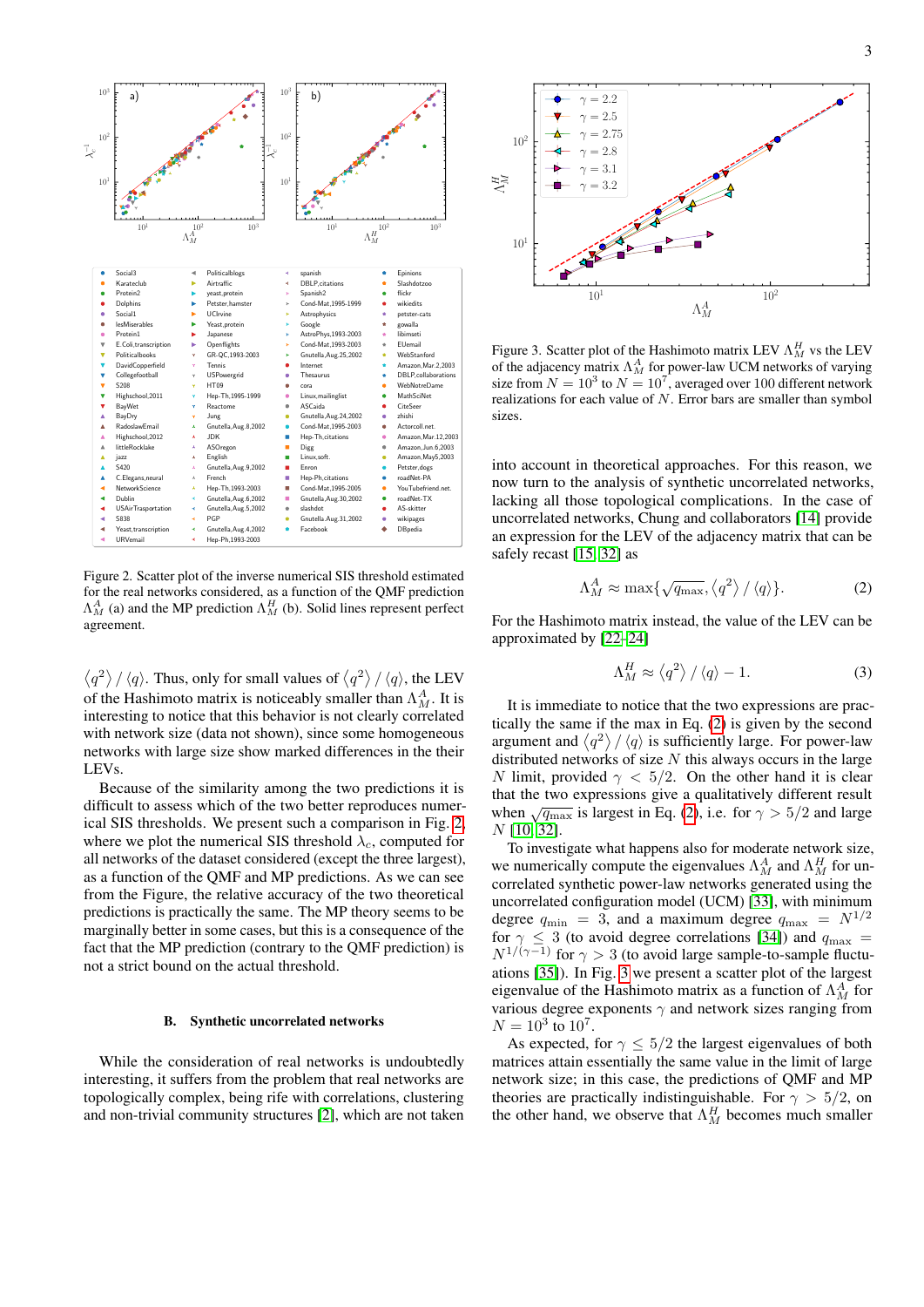

<span id="page-2-0"></span>Figure 2. Scatter plot of the inverse numerical SIS threshold estimated for the real networks considered, as a function of the QMF prediction  $\Lambda_M^A$  (a) and the MP prediction  $\Lambda_M^H$  (b). Solid lines represent perfect agreement.

 $\langle q^2 \rangle / \langle q \rangle$ . Thus, only for small values of  $\langle q^2 \rangle / \langle q \rangle$ , the LEV of the Hashimoto matrix is noticeably smaller than  $\Lambda_M^A$ . It is interesting to notice that this behavior is not clearly correlated with network size (data not shown), since some homogeneous networks with large size show marked differences in the their LEVs.

Because of the similarity among the two predictions it is difficult to assess which of the two better reproduces numerical SIS thresholds. We present such a comparison in Fig. [2,](#page-2-0) where we plot the numerical SIS threshold  $\lambda_c$ , computed for all networks of the dataset considered (except the three largest), as a function of the QMF and MP predictions. As we can see from the Figure, the relative accuracy of the two theoretical predictions is practically the same. The MP theory seems to be marginally better in some cases, but this is a consequence of the fact that the MP prediction (contrary to the QMF prediction) is not a strict bound on the actual threshold.

### B. Synthetic uncorrelated networks

While the consideration of real networks is undoubtedly interesting, it suffers from the problem that real networks are topologically complex, being rife with correlations, clustering and non-trivial community structures [\[2\]](#page-6-1), which are not taken



<span id="page-2-2"></span>Figure 3. Scatter plot of the Hashimoto matrix LEV  $\Lambda_M^H$  vs the LEV of the adjacency matrix  $\Lambda_M^A$  for power-law UCM networks of varying size from  $N = 10^3$  to  $N = 10^7$ , averaged over 100 different network realizations for each value of  $N$ . Error bars are smaller than symbol sizes.

into account in theoretical approaches. For this reason, we now turn to the analysis of synthetic uncorrelated networks, lacking all those topological complications. In the case of uncorrelated networks, Chung and collaborators [\[14\]](#page-6-11) provide an expression for the LEV of the adjacency matrix that can be safely recast [\[15,](#page-6-12) [32\]](#page-6-29) as

<span id="page-2-1"></span>
$$
\Lambda_M^A \approx \max\{\sqrt{q_{\text{max}}}, \langle q^2 \rangle / \langle q \rangle\}.
$$
 (2)

For the Hashimoto matrix instead, the value of the LEV can be approximated by [\[22](#page-6-19)[–24\]](#page-6-21)

<span id="page-2-3"></span>
$$
\Lambda_M^H \approx \left\langle q^2 \right\rangle / \left\langle q \right\rangle - 1. \tag{3}
$$

It is immediate to notice that the two expressions are practically the same if the max in Eq. [\(2\)](#page-2-1) is given by the second argument and  $\langle q^2 \rangle / \langle q \rangle$  is sufficiently large. For power-law distributed networks of size  $N$  this always occurs in the large N limit, provided  $\gamma$  < 5/2. On the other hand it is clear that the two expressions give a qualitatively different result when  $\sqrt{q_{\text{max}}}$  is largest in Eq. [\(2\)](#page-2-1), i.e. for  $\gamma > 5/2$  and large N [\[10,](#page-6-30) [32\]](#page-6-29).

To investigate what happens also for moderate network size, we numerically compute the eigenvalues  $\Lambda_M^A$  and  $\Lambda_M^H$  for uncorrelated synthetic power-law networks generated using the uncorrelated configuration model (UCM) [\[33\]](#page-6-31), with minimum degree  $q_{\text{min}} = 3$ , and a maximum degree  $q_{\text{max}} = N^{1/2}$ for  $\gamma \leq 3$  (to avoid degree correlations [\[34\]](#page-6-32)) and  $q_{\text{max}} =$  $N^{1/(\gamma-1)}$  for  $\gamma > 3$  (to avoid large sample-to-sample fluctuations [\[35\]](#page-6-33)). In Fig. [3](#page-2-2) we present a scatter plot of the largest eigenvalue of the Hashimoto matrix as a function of  $\Lambda_M^A$  for various degree exponents  $\gamma$  and network sizes ranging from  $N = 10^3$  to  $10^7$ .

As expected, for  $\gamma \leq 5/2$  the largest eigenvalues of both matrices attain essentially the same value in the limit of large network size; in this case, the predictions of QMF and MP theories are practically indistinguishable. For  $\gamma > 5/2$ , on the other hand, we observe that  $\Lambda_M^H$  becomes much smaller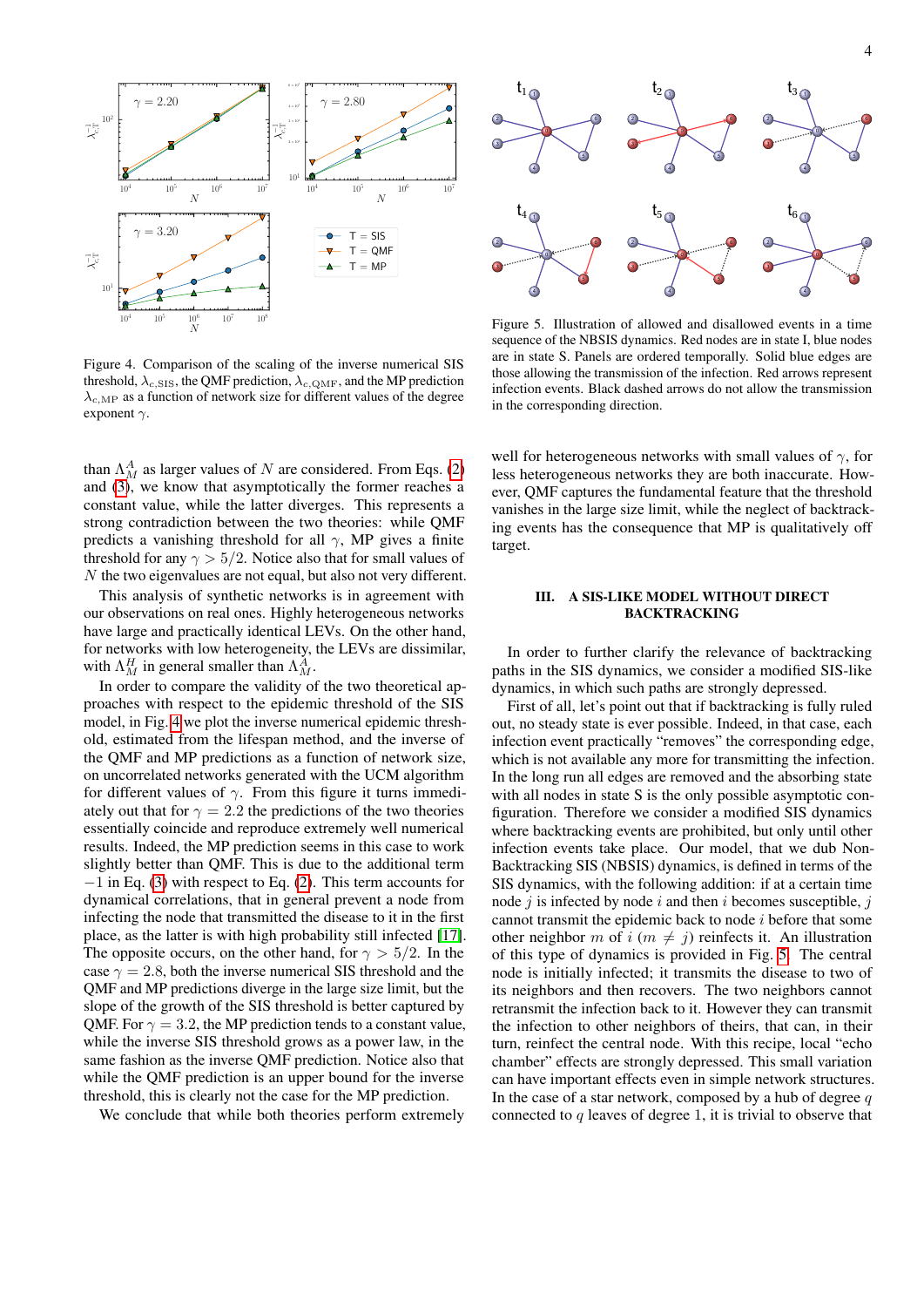

<span id="page-3-0"></span>Figure 4. Comparison of the scaling of the inverse numerical SIS threshold,  $\lambda_{c, \text{SIS}}$ , the QMF prediction,  $\lambda_{c, \text{QMF}}$ , and the MP prediction  $\lambda_{c,MP}$  as a function of network size for different values of the degree exponent  $\gamma$ .

than  $\Lambda_M^A$  as larger values of N are considered. From Eqs. [\(2\)](#page-2-1) and [\(3\)](#page-2-3), we know that asymptotically the former reaches a constant value, while the latter diverges. This represents a strong contradiction between the two theories: while QMF predicts a vanishing threshold for all  $\gamma$ , MP gives a finite threshold for any  $\gamma > 5/2$ . Notice also that for small values of N the two eigenvalues are not equal, but also not very different.

This analysis of synthetic networks is in agreement with our observations on real ones. Highly heterogeneous networks have large and practically identical LEVs. On the other hand, for networks with low heterogeneity, the LEVs are dissimilar, with  $\Lambda_M^H$  in general smaller than  $\Lambda_M^A$ .

In order to compare the validity of the two theoretical approaches with respect to the epidemic threshold of the SIS model, in Fig. [4](#page-3-0) we plot the inverse numerical epidemic threshold, estimated from the lifespan method, and the inverse of the QMF and MP predictions as a function of network size, on uncorrelated networks generated with the UCM algorithm for different values of  $\gamma$ . From this figure it turns immediately out that for  $\gamma = 2.2$  the predictions of the two theories essentially coincide and reproduce extremely well numerical results. Indeed, the MP prediction seems in this case to work slightly better than QMF. This is due to the additional term −1 in Eq. [\(3\)](#page-2-3) with respect to Eq. [\(2\)](#page-2-1). This term accounts for dynamical correlations, that in general prevent a node from infecting the node that transmitted the disease to it in the first place, as the latter is with high probability still infected [\[17\]](#page-6-14). The opposite occurs, on the other hand, for  $\gamma > 5/2$ . In the case  $\gamma = 2.8$ , both the inverse numerical SIS threshold and the QMF and MP predictions diverge in the large size limit, but the slope of the growth of the SIS threshold is better captured by QMF. For  $\gamma = 3.2$ , the MP prediction tends to a constant value, while the inverse SIS threshold grows as a power law, in the same fashion as the inverse QMF prediction. Notice also that while the QMF prediction is an upper bound for the inverse threshold, this is clearly not the case for the MP prediction.

We conclude that while both theories perform extremely



<span id="page-3-1"></span>Figure 5. Illustration of allowed and disallowed events in a time sequence of the NBSIS dynamics. Red nodes are in state I, blue nodes are in state S. Panels are ordered temporally. Solid blue edges are those allowing the transmission of the infection. Red arrows represent infection events. Black dashed arrows do not allow the transmission in the corresponding direction.

well for heterogeneous networks with small values of  $\gamma$ , for less heterogeneous networks they are both inaccurate. However, QMF captures the fundamental feature that the threshold vanishes in the large size limit, while the neglect of backtracking events has the consequence that MP is qualitatively off target.

# III. A SIS-LIKE MODEL WITHOUT DIRECT BACKTRACKING

In order to further clarify the relevance of backtracking paths in the SIS dynamics, we consider a modified SIS-like dynamics, in which such paths are strongly depressed.

First of all, let's point out that if backtracking is fully ruled out, no steady state is ever possible. Indeed, in that case, each infection event practically "removes" the corresponding edge, which is not available any more for transmitting the infection. In the long run all edges are removed and the absorbing state with all nodes in state S is the only possible asymptotic configuration. Therefore we consider a modified SIS dynamics where backtracking events are prohibited, but only until other infection events take place. Our model, that we dub Non-Backtracking SIS (NBSIS) dynamics, is defined in terms of the SIS dynamics, with the following addition: if at a certain time node  $j$  is infected by node  $i$  and then  $i$  becomes susceptible,  $j$ cannot transmit the epidemic back to node i before that some other neighbor m of i  $(m \neq j)$  reinfects it. An illustration of this type of dynamics is provided in Fig. [5.](#page-3-1) The central node is initially infected; it transmits the disease to two of its neighbors and then recovers. The two neighbors cannot retransmit the infection back to it. However they can transmit the infection to other neighbors of theirs, that can, in their turn, reinfect the central node. With this recipe, local "echo chamber" effects are strongly depressed. This small variation can have important effects even in simple network structures. In the case of a star network, composed by a hub of degree  $q$ connected to  $q$  leaves of degree 1, it is trivial to observe that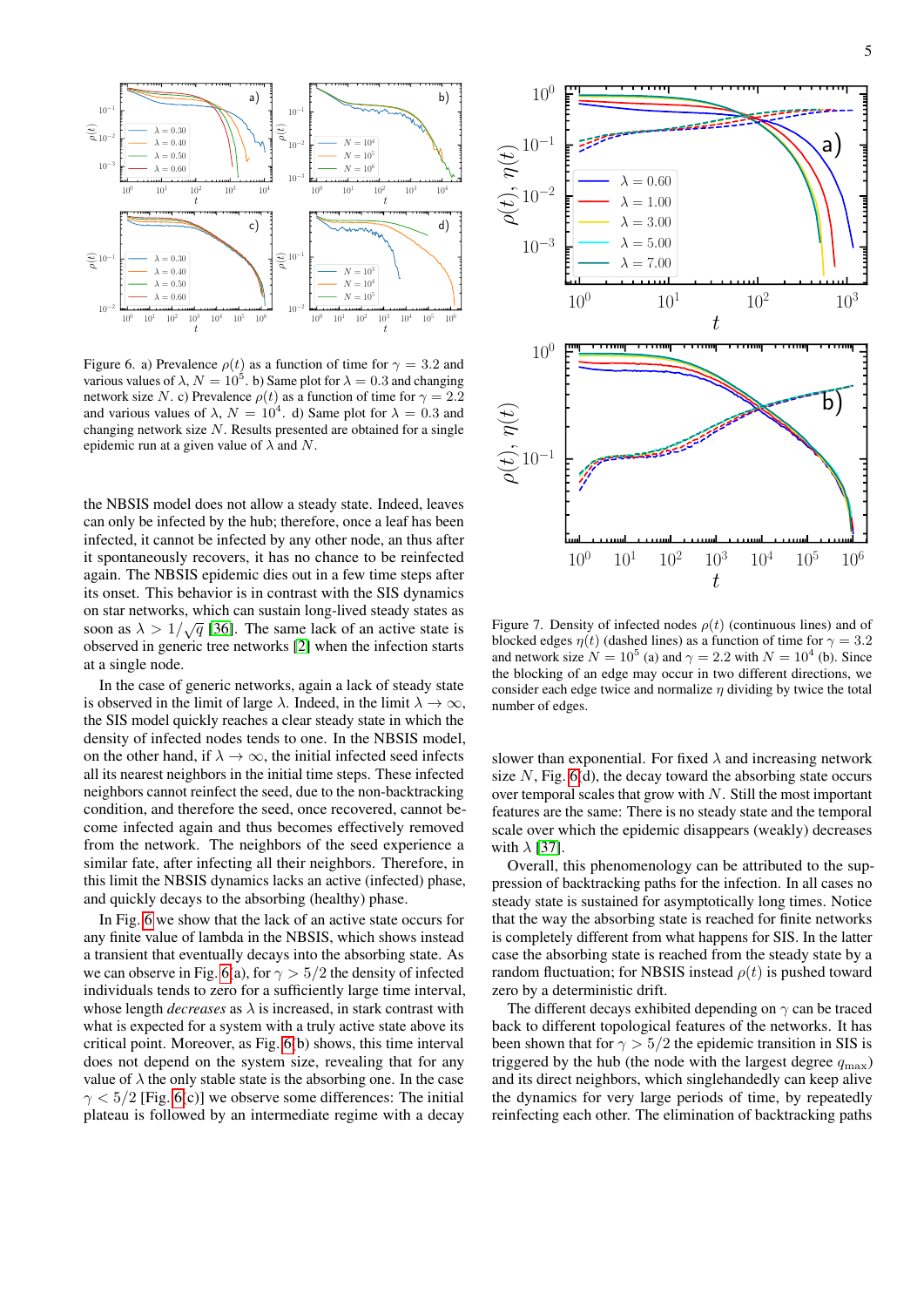

<span id="page-4-0"></span>Figure 6. a) Prevalence  $\rho(t)$  as a function of time for  $\gamma = 3.2$  and various values of  $\lambda$ ,  $N = 10^5$ . b) Same plot for  $\lambda = 0.3$  and changing network size N. c) Prevalence  $\rho(t)$  as a function of time for  $\gamma = 2.2$ and various values of  $\lambda$ ,  $N = 10^4$ . d) Same plot for  $\lambda = 0.3$  and changing network size  $N$ . Results presented are obtained for a single epidemic run at a given value of  $\lambda$  and N.

the NBSIS model does not allow a steady state. Indeed, leaves can only be infected by the hub; therefore, once a leaf has been infected, it cannot be infected by any other node, an thus after it spontaneously recovers, it has no chance to be reinfected again. The NBSIS epidemic dies out in a few time steps after its onset. This behavior is in contrast with the SIS dynamics on star networks, which can sustain long-lived steady states as soon as  $\lambda > 1/\sqrt{q}$  [\[36\]](#page-6-34). The same lack of an active state is observed in generic tree networks [\[2\]](#page-6-1) when the infection starts at a single node.

In the case of generic networks, again a lack of steady state is observed in the limit of large  $\lambda$ . Indeed, in the limit  $\lambda \to \infty$ , the SIS model quickly reaches a clear steady state in which the density of infected nodes tends to one. In the NBSIS model, on the other hand, if  $\lambda \to \infty$ , the initial infected seed infects all its nearest neighbors in the initial time steps. These infected neighbors cannot reinfect the seed, due to the non-backtracking condition, and therefore the seed, once recovered, cannot become infected again and thus becomes effectively removed from the network. The neighbors of the seed experience a similar fate, after infecting all their neighbors. Therefore, in this limit the NBSIS dynamics lacks an active (infected) phase, and quickly decays to the absorbing (healthy) phase.

In Fig. [6](#page-4-0) we show that the lack of an active state occurs for any finite value of lambda in the NBSIS, which shows instead a transient that eventually decays into the absorbing state. As we can observe in Fig. [6\(](#page-4-0)a), for  $\gamma > 5/2$  the density of infected individuals tends to zero for a sufficiently large time interval, whose length *decreases* as  $\lambda$  is increased, in stark contrast with what is expected for a system with a truly active state above its critical point. Moreover, as Fig. [6\(](#page-4-0)b) shows, this time interval does not depend on the system size, revealing that for any value of  $\lambda$  the only stable state is the absorbing one. In the case  $\gamma$  < 5/2 [Fig. [6\(](#page-4-0)c)] we observe some differences: The initial plateau is followed by an intermediate regime with a decay



<span id="page-4-1"></span>Figure 7. Density of infected nodes  $\rho(t)$  (continuous lines) and of blocked edges  $\eta(t)$  (dashed lines) as a function of time for  $\gamma = 3.2$ and network size  $N = 10^5$  (a) and  $\gamma = 2.2$  with  $N = 10^4$  (b). Since the blocking of an edge may occur in two different directions, we consider each edge twice and normalize  $\eta$  dividing by twice the total number of edges.

slower than exponential. For fixed  $\lambda$  and increasing network size  $N$ , Fig. [6\(](#page-4-0)d), the decay toward the absorbing state occurs over temporal scales that grow with  $N$ . Still the most important features are the same: There is no steady state and the temporal scale over which the epidemic disappears (weakly) decreases with  $\lambda$  [\[37\]](#page-6-35).

Overall, this phenomenology can be attributed to the suppression of backtracking paths for the infection. In all cases no steady state is sustained for asymptotically long times. Notice that the way the absorbing state is reached for finite networks is completely different from what happens for SIS. In the latter case the absorbing state is reached from the steady state by a random fluctuation; for NBSIS instead  $\rho(t)$  is pushed toward zero by a deterministic drift.

The different decays exhibited depending on  $\gamma$  can be traced back to different topological features of the networks. It has been shown that for  $\gamma > 5/2$  the epidemic transition in SIS is triggered by the hub (the node with the largest degree  $q_{\text{max}}$ ) and its direct neighbors, which singlehandedly can keep alive the dynamics for very large periods of time, by repeatedly reinfecting each other. The elimination of backtracking paths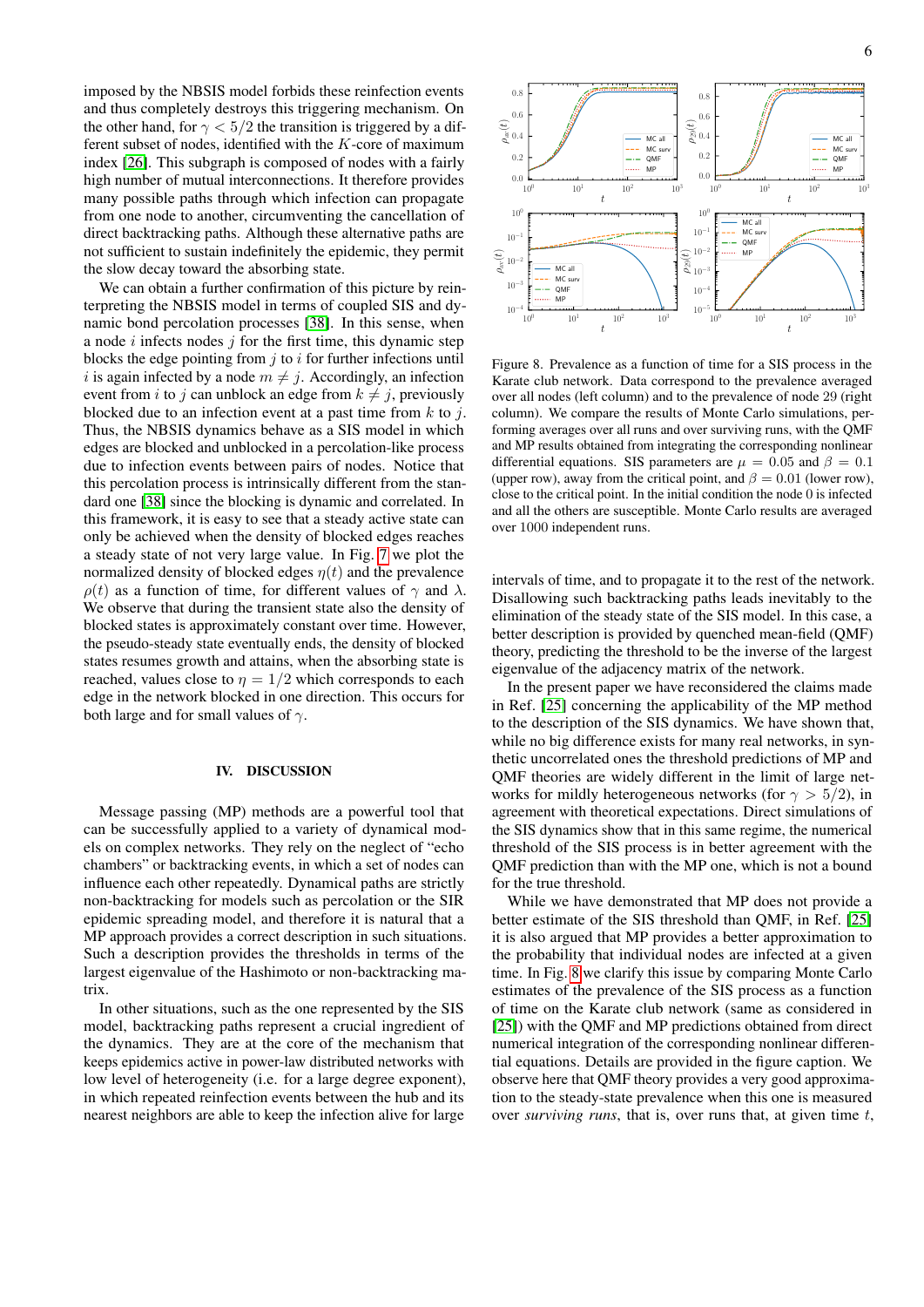imposed by the NBSIS model forbids these reinfection events and thus completely destroys this triggering mechanism. On the other hand, for  $\gamma < 5/2$  the transition is triggered by a different subset of nodes, identified with the K-core of maximum index [\[26\]](#page-6-23). This subgraph is composed of nodes with a fairly high number of mutual interconnections. It therefore provides many possible paths through which infection can propagate from one node to another, circumventing the cancellation of direct backtracking paths. Although these alternative paths are not sufficient to sustain indefinitely the epidemic, they permit the slow decay toward the absorbing state.

We can obtain a further confirmation of this picture by reinterpreting the NBSIS model in terms of coupled SIS and dynamic bond percolation processes [\[38\]](#page-6-36). In this sense, when a node  $i$  infects nodes  $j$  for the first time, this dynamic step blocks the edge pointing from  $j$  to  $i$  for further infections until i is again infected by a node  $m \neq j$ . Accordingly, an infection event from i to j can unblock an edge from  $k \neq j$ , previously blocked due to an infection event at a past time from  $k$  to  $j$ . Thus, the NBSIS dynamics behave as a SIS model in which edges are blocked and unblocked in a percolation-like process due to infection events between pairs of nodes. Notice that this percolation process is intrinsically different from the standard one [\[38\]](#page-6-36) since the blocking is dynamic and correlated. In this framework, it is easy to see that a steady active state can only be achieved when the density of blocked edges reaches a steady state of not very large value. In Fig. [7](#page-4-1) we plot the normalized density of blocked edges  $\eta(t)$  and the prevalence  $\rho(t)$  as a function of time, for different values of  $\gamma$  and  $\lambda$ . We observe that during the transient state also the density of blocked states is approximately constant over time. However, the pseudo-steady state eventually ends, the density of blocked states resumes growth and attains, when the absorbing state is reached, values close to  $\eta = 1/2$  which corresponds to each edge in the network blocked in one direction. This occurs for both large and for small values of  $\gamma$ .

## IV. DISCUSSION

Message passing (MP) methods are a powerful tool that can be successfully applied to a variety of dynamical models on complex networks. They rely on the neglect of "echo chambers" or backtracking events, in which a set of nodes can influence each other repeatedly. Dynamical paths are strictly non-backtracking for models such as percolation or the SIR epidemic spreading model, and therefore it is natural that a MP approach provides a correct description in such situations. Such a description provides the thresholds in terms of the largest eigenvalue of the Hashimoto or non-backtracking matrix.

In other situations, such as the one represented by the SIS model, backtracking paths represent a crucial ingredient of the dynamics. They are at the core of the mechanism that keeps epidemics active in power-law distributed networks with low level of heterogeneity (i.e. for a large degree exponent), in which repeated reinfection events between the hub and its nearest neighbors are able to keep the infection alive for large



<span id="page-5-0"></span>Figure 8. Prevalence as a function of time for a SIS process in the Karate club network. Data correspond to the prevalence averaged over all nodes (left column) and to the prevalence of node 29 (right column). We compare the results of Monte Carlo simulations, performing averages over all runs and over surviving runs, with the QMF and MP results obtained from integrating the corresponding nonlinear differential equations. SIS parameters are  $\mu = 0.05$  and  $\beta = 0.1$ (upper row), away from the critical point, and  $\beta = 0.01$  (lower row), close to the critical point. In the initial condition the node 0 is infected and all the others are susceptible. Monte Carlo results are averaged over 1000 independent runs.

intervals of time, and to propagate it to the rest of the network. Disallowing such backtracking paths leads inevitably to the elimination of the steady state of the SIS model. In this case, a better description is provided by quenched mean-field (QMF) theory, predicting the threshold to be the inverse of the largest eigenvalue of the adjacency matrix of the network.

In the present paper we have reconsidered the claims made in Ref. [\[25\]](#page-6-22) concerning the applicability of the MP method to the description of the SIS dynamics. We have shown that, while no big difference exists for many real networks, in synthetic uncorrelated ones the threshold predictions of MP and QMF theories are widely different in the limit of large networks for mildly heterogeneous networks (for  $\gamma > 5/2$ ), in agreement with theoretical expectations. Direct simulations of the SIS dynamics show that in this same regime, the numerical threshold of the SIS process is in better agreement with the QMF prediction than with the MP one, which is not a bound for the true threshold.

While we have demonstrated that MP does not provide a better estimate of the SIS threshold than QMF, in Ref. [\[25\]](#page-6-22) it is also argued that MP provides a better approximation to the probability that individual nodes are infected at a given time. In Fig. [8](#page-5-0) we clarify this issue by comparing Monte Carlo estimates of the prevalence of the SIS process as a function of time on the Karate club network (same as considered in [\[25\]](#page-6-22)) with the QMF and MP predictions obtained from direct numerical integration of the corresponding nonlinear differential equations. Details are provided in the figure caption. We observe here that QMF theory provides a very good approximation to the steady-state prevalence when this one is measured over *surviving runs*, that is, over runs that, at given time t,